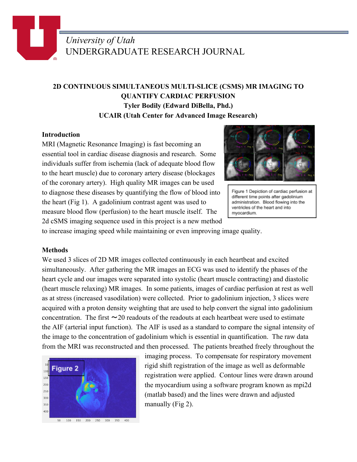# *University of Utah* UNDERGRADUATE RESEARCH JOURNAL

## **2D CONTINUOUS SIMULTANEOUS MULTI-SLICE (CSMS) MR IMAGING TO QUANTIFY CARDIAC PERFUSION Tyler Bodily (Edward DiBella, Phd.) UCAIR (Utah Center for Advanced Image Research)**

#### **Introduction**

MRI (Magnetic Resonance Imaging) is fast becoming an essential tool in cardiac disease diagnosis and research. Some individuals suffer from ischemia (lack of adequate blood flow to the heart muscle) due to coronary artery disease (blockages of the coronary artery). High quality MR images can be used to diagnose these diseases by quantifying the flow of blood into the heart (Fig 1). A gadolinium contrast agent was used to measure blood flow (perfusion) to the heart muscle itself. The 2d cSMS imaging sequence used in this project is a new method



Figure 1 Depiction of cardiac perfusion at different time points after gadolinium administration. Blood flowing into the ventricles of the heart and into myocardium.

to increase imaging speed while maintaining or even improving image quality.

#### **Methods**

We used 3 slices of 2D MR images collected continuously in each heartbeat and excited simultaneously. After gathering the MR images an ECG was used to identify the phases of the heart cycle and our images were separated into systolic (heart muscle contracting) and diastolic (heart muscle relaxing) MR images. In some patients, images of cardiac perfusion at rest as well as at stress (increased vasodilation) were collected. Prior to gadolinium injection, 3 slices were acquired with a proton density weighting that are used to help convert the signal into gadolinium concentration. The first  $\sim$  20 readouts of the readouts at each heartbeat were used to estimate the AIF (arterial input function). The AIF is used as a standard to compare the signal intensity of the image to the concentration of gadolinium which is essential in quantification. The raw data from the MRI was reconstructed and then processed. The patients breathed freely throughout the



imaging process. To compensate for respiratory movement rigid shift registration of the image as well as deformable registration were applied. Contour lines were drawn around the myocardium using a software program known as mpi2d (matlab based) and the lines were drawn and adjusted manually (Fig 2).